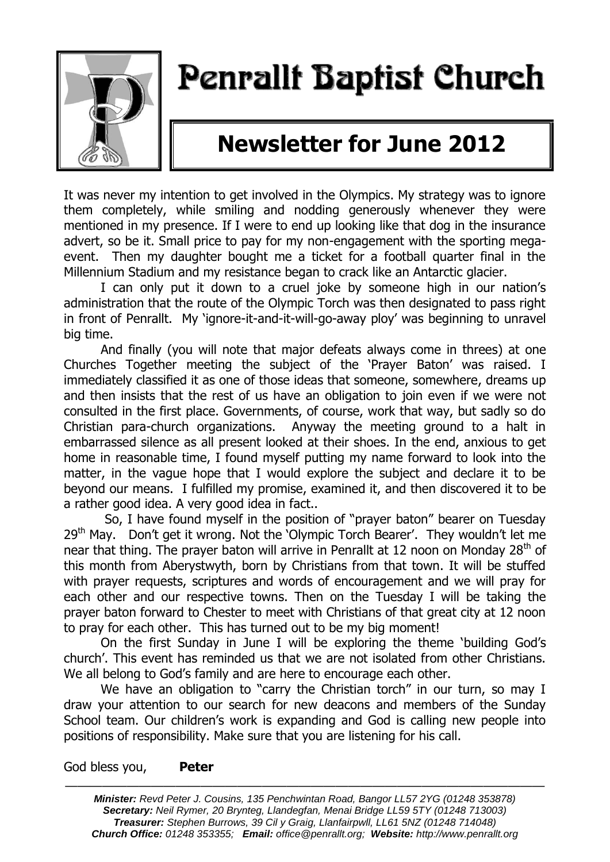

# Penrallt Baptist Church

## **Newsletter for June 2012**

It was never my intention to get involved in the Olympics. My strategy was to ignore them completely, while smiling and nodding generously whenever they were mentioned in my presence. If I were to end up looking like that dog in the insurance advert, so be it. Small price to pay for my non-engagement with the sporting megaevent. Then my daughter bought me a ticket for a football quarter final in the Millennium Stadium and my resistance began to crack like an Antarctic glacier.

I can only put it down to a cruel joke by someone high in our nation's administration that the route of the Olympic Torch was then designated to pass right in front of Penrallt. My 'ignore-it-and-it-will-go-away ploy' was beginning to unravel big time.

And finally (you will note that major defeats always come in threes) at one Churches Together meeting the subject of the 'Prayer Baton' was raised. I immediately classified it as one of those ideas that someone, somewhere, dreams up and then insists that the rest of us have an obligation to join even if we were not consulted in the first place. Governments, of course, work that way, but sadly so do Christian para-church organizations. Anyway the meeting ground to a halt in embarrassed silence as all present looked at their shoes. In the end, anxious to get home in reasonable time, I found myself putting my name forward to look into the matter, in the vague hope that I would explore the subject and declare it to be beyond our means. I fulfilled my promise, examined it, and then discovered it to be a rather good idea. A very good idea in fact..

So, I have found myself in the position of "prayer baton" bearer on Tuesday 29<sup>th</sup> May. Don't get it wrong. Not the 'Olympic Torch Bearer'. They wouldn't let me near that thing. The prayer baton will arrive in Penrallt at 12 noon on Monday  $28<sup>th</sup>$  of this month from Aberystwyth, born by Christians from that town. It will be stuffed with prayer requests, scriptures and words of encouragement and we will pray for each other and our respective towns. Then on the Tuesday I will be taking the prayer baton forward to Chester to meet with Christians of that great city at 12 noon to pray for each other. This has turned out to be my big moment!

On the first Sunday in June I will be exploring the theme 'building God's church'. This event has reminded us that we are not isolated from other Christians. We all belong to God's family and are here to encourage each other.

We have an obligation to "carry the Christian torch" in our turn, so may I draw your attention to our search for new deacons and members of the Sunday School team. Our children's work is expanding and God is calling new people into positions of responsibility. Make sure that you are listening for his call.

#### God bless you, **Peter**

———————————————————————————————————————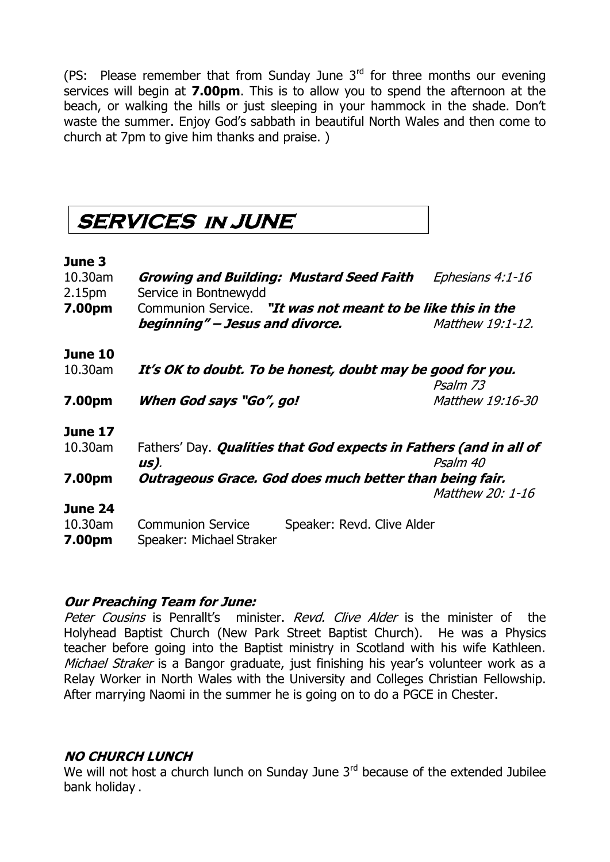(PS: Please remember that from Sunday June  $3<sup>rd</sup>$  for three months our evening services will begin at **7.00pm**. This is to allow you to spend the afternoon at the beach, or walking the hills or just sleeping in your hammock in the shade. Don't waste the summer. Enjoy God's sabbath in beautiful North Wales and then come to church at 7pm to give him thanks and praise. )

### **SERVICES IN JUNE**

### **June 3**

| 10.30am<br>2.15 <sub>pm</sub> | <b>Growing and Building: Mustard Seed Faith</b><br>Service in Bontnewydd               | Ephesians 4:1-16 |  |
|-------------------------------|----------------------------------------------------------------------------------------|------------------|--|
| 7.00pm                        | Communion Service. "It was not meant to be like this in the                            |                  |  |
|                               | beginning" – Jesus and divorce.                                                        | Matthew 19:1-12. |  |
| <b>June 10</b>                |                                                                                        |                  |  |
| 10.30am                       | It's OK to doubt. To be honest, doubt may be good for you.                             |                  |  |
|                               |                                                                                        | Psalm 73         |  |
| 7.00pm                        | When God says "Go", go!                                                                | Matthew 19:16-30 |  |
| <b>June 17</b>                |                                                                                        |                  |  |
| 10.30am                       | Fathers' Day. Qualities that God expects in Fathers (and in all of<br>Psalm 40<br>us). |                  |  |
| 7.00pm                        | Outrageous Grace. God does much better than being fair.<br>Matthew 20: 1-16            |                  |  |
| June 24                       |                                                                                        |                  |  |
| 10.30am<br>7.00pm             | <b>Communion Service</b><br>Speaker: Revd. Clive Alder<br>Speaker: Michael Straker     |                  |  |
|                               |                                                                                        |                  |  |

### **Our Preaching Team for June:**

Peter Cousins is Penrallt's minister. Revd. Clive Alder is the minister of the Holyhead Baptist Church (New Park Street Baptist Church). He was a Physics teacher before going into the Baptist ministry in Scotland with his wife Kathleen. Michael Straker is a Bangor graduate, just finishing his year's volunteer work as a Relay Worker in North Wales with the University and Colleges Christian Fellowship. After marrying Naomi in the summer he is going on to do a PGCE in Chester.

### **NO CHURCH LUNCH**

We will not host a church lunch on Sunday June  $3<sup>rd</sup>$  because of the extended Jubilee bank holiday .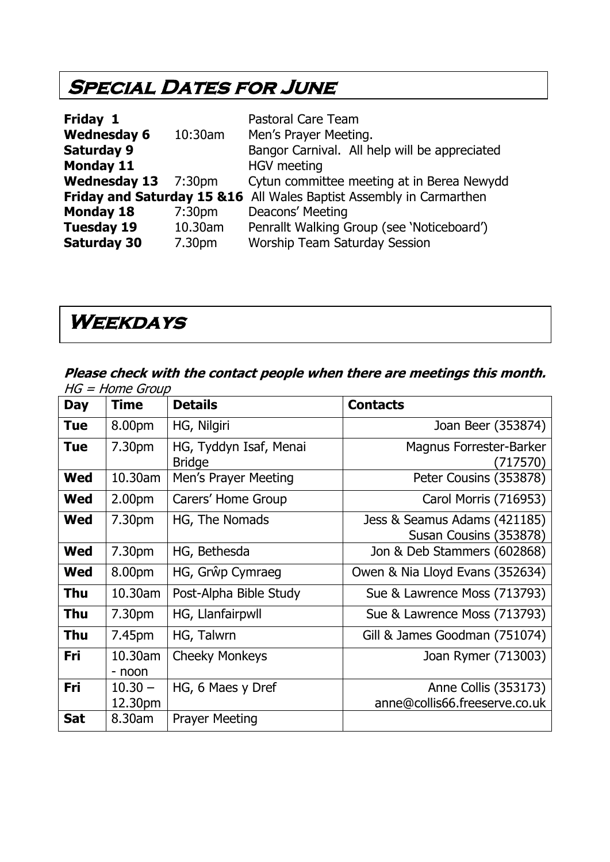### **SPECIAL DATES FOR JUNE**

| Friday 1            |                    | <b>Pastoral Care Team</b>                                            |
|---------------------|--------------------|----------------------------------------------------------------------|
| <b>Wednesday 6</b>  | $10:30$ am         | Men's Prayer Meeting.                                                |
| <b>Saturday 9</b>   |                    | Bangor Carnival. All help will be appreciated                        |
| <b>Monday 11</b>    |                    | <b>HGV</b> meeting                                                   |
| Wednesday 13 7:30pm |                    | Cytun committee meeting at in Berea Newydd                           |
|                     |                    | Friday and Saturday 15 & 16 All Wales Baptist Assembly in Carmarthen |
| <b>Monday 18</b>    | 7:30 <sub>pm</sub> | Deacons' Meeting                                                     |
| <b>Tuesday 19</b>   | 10.30am            | Penrallt Walking Group (see 'Noticeboard')                           |
| <b>Saturday 30</b>  | 7.30pm             | <b>Worship Team Saturday Session</b>                                 |

### **Weekdays**

#### **Please check with the contact people when there are meetings this month.**  HG = Home Group

| Day        | <b>Time</b>          | <b>Details</b>                          | <b>Contacts</b>                                        |
|------------|----------------------|-----------------------------------------|--------------------------------------------------------|
| <b>Tue</b> | 8.00pm               | HG, Nilgiri                             | Joan Beer (353874)                                     |
| <b>Tue</b> | 7.30pm               | HG, Tyddyn Isaf, Menai<br><b>Bridge</b> | <b>Magnus Forrester-Barker</b><br>(717570)             |
| <b>Wed</b> | 10.30am              | Men's Prayer Meeting                    | Peter Cousins (353878)                                 |
| <b>Wed</b> | 2.00 <sub>pm</sub>   | Carers' Home Group                      | Carol Morris (716953)                                  |
| <b>Wed</b> | 7.30pm               | HG, The Nomads                          | Jess & Seamus Adams (421185)<br>Susan Cousins (353878) |
| <b>Wed</b> | 7.30pm               | HG, Bethesda                            | Jon & Deb Stammers (602868)                            |
| <b>Wed</b> | 8.00pm               | HG, Grŵp Cymraeg                        | Owen & Nia Lloyd Evans (352634)                        |
| Thu        | 10.30am              | Post-Alpha Bible Study                  | Sue & Lawrence Moss (713793)                           |
| Thu        | 7.30pm               | HG, Llanfairpwll                        | Sue & Lawrence Moss (713793)                           |
| Thu        | 7.45pm               | HG, Talwrn                              | Gill & James Goodman (751074)                          |
| Fri        | 10.30am<br>- noon    | <b>Cheeky Monkeys</b>                   | Joan Rymer (713003)                                    |
| Fri        | $10.30 -$<br>12.30pm | HG, 6 Maes y Dref                       | Anne Collis (353173)<br>anne@collis66.freeserve.co.uk  |
| <b>Sat</b> | 8.30am               | <b>Prayer Meeting</b>                   |                                                        |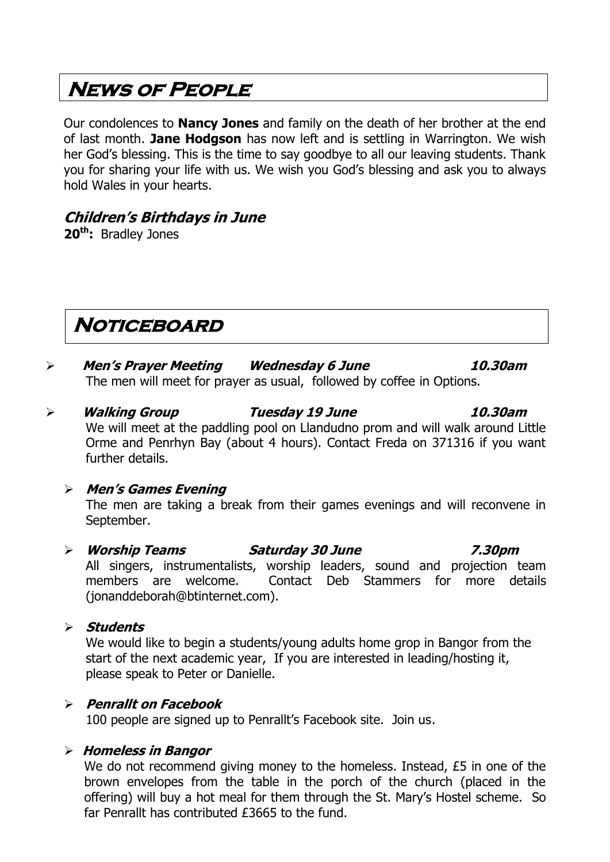### **News of People**

Our condolences to **Nancy Jones** and family on the death of her brother at the end of last month. **Jane Hodgson** has now left and is settling in Warrington. We wish her God's blessing. This is the time to say goodbye to all our leaving students. Thank you for sharing your life with us. We wish you God's blessing and ask you to always hold Wales in your hearts.

### **Children's Birthdays in June**

**20th:** Bradley Jones

### **Noticeboard**

- **Men's Prayer Meeting Wednesday 6 June 10.30am** The men will meet for prayer as usual, followed by coffee in Options.
- **Walking Group Tuesday 19 June 10.30am** We will meet at the paddling pool on Llandudno prom and will walk around Little Orme and Penrhyn Bay (about 4 hours). Contact Freda on 371316 if you want further details.

### **Men's Games Evening**

The men are taking a break from their games evenings and will reconvene in September.

- **Worship Teams Saturday 30 June 7.30pm** All singers, instrumentalists, worship leaders, sound and projection team members are welcome. Contact Deb Stammers for more details [\(jonanddeborah@btinternet.com\)](mailto:jonanddeborah@btinternet.com).
- **Students**

We would like to begin a students/young adults home grop in Bangor from the start of the next academic year, If you are interested in leading/hosting it, please speak to Peter or Danielle.

### **Penrallt on Facebook**

100 people are signed up to Penrallt's Facebook site. Join us.

### **Homeless in Bangor**

We do not recommend giving money to the homeless. Instead, £5 in one of the brown envelopes from the table in the porch of the church (placed in the offering) will buy a hot meal for them through the St. Mary's Hostel scheme. So far Penrallt has contributed £3665 to the fund.